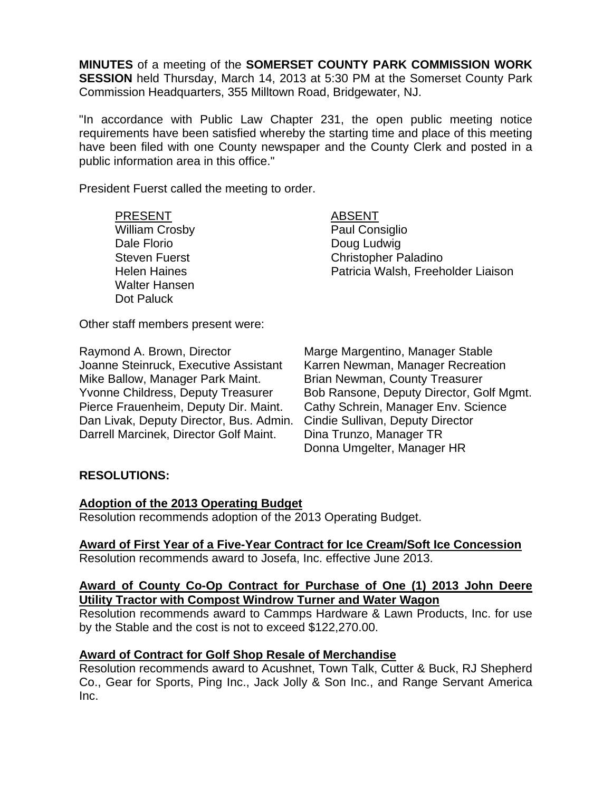**MINUTES** of a meeting of the **SOMERSET COUNTY PARK COMMISSION WORK SESSION** held Thursday, March 14, 2013 at 5:30 PM at the Somerset County Park Commission Headquarters, 355 Milltown Road, Bridgewater, NJ.

"In accordance with Public Law Chapter 231, the open public meeting notice requirements have been satisfied whereby the starting time and place of this meeting have been filed with one County newspaper and the County Clerk and posted in a public information area in this office."

President Fuerst called the meeting to order.

PRESENT ABSENT William Crosby **Paul Consiglio** Dale Florio **Doug Ludwig** Walter Hansen Dot Paluck

Steven Fuerst **Christopher Paladino** Helen Haines Patricia Walsh, Freeholder Liaison

Other staff members present were:

Joanne Steinruck, Executive Assistant Karren Newman, Manager Recreation Mike Ballow, Manager Park Maint. Brian Newman, County Treasurer Pierce Frauenheim, Deputy Dir. Maint. Cathy Schrein, Manager Env. Science Dan Livak, Deputy Director, Bus. Admin. Cindie Sullivan, Deputy Director Darrell Marcinek, Director Golf Maint. Dina Trunzo, Manager TR

Raymond A. Brown, Director Marge Margentino, Manager Stable Yvonne Childress, Deputy Treasurer Bob Ransone, Deputy Director, Golf Mgmt. Donna Umgelter, Manager HR

# **RESOLUTIONS:**

### **Adoption of the 2013 Operating Budget**

Resolution recommends adoption of the 2013 Operating Budget.

# **Award of First Year of a Five-Year Contract for Ice Cream/Soft Ice Concession**

Resolution recommends award to Josefa, Inc. effective June 2013.

### **Award of County Co-Op Contract for Purchase of One (1) 2013 John Deere Utility Tractor with Compost Windrow Turner and Water Wagon**

Resolution recommends award to Cammps Hardware & Lawn Products, Inc. for use by the Stable and the cost is not to exceed \$122,270.00.

# **Award of Contract for Golf Shop Resale of Merchandise**

Resolution recommends award to Acushnet, Town Talk, Cutter & Buck, RJ Shepherd Co., Gear for Sports, Ping Inc., Jack Jolly & Son Inc., and Range Servant America Inc.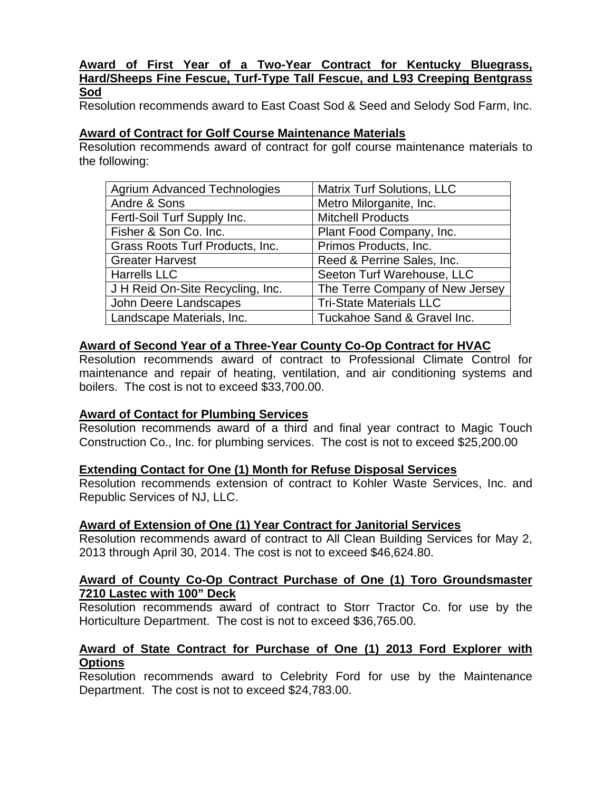### **Award of First Year of a Two-Year Contract for Kentucky Bluegrass, Hard/Sheeps Fine Fescue, Turf-Type Tall Fescue, and L93 Creeping Bentgrass Sod**

Resolution recommends award to East Coast Sod & Seed and Selody Sod Farm, Inc.

### **Award of Contract for Golf Course Maintenance Materials**

Resolution recommends award of contract for golf course maintenance materials to the following:

| <b>Agrium Advanced Technologies</b> | Matrix Turf Solutions, LLC      |
|-------------------------------------|---------------------------------|
| Andre & Sons                        | Metro Milorganite, Inc.         |
| Fertl-Soil Turf Supply Inc.         | <b>Mitchell Products</b>        |
| Fisher & Son Co. Inc.               | Plant Food Company, Inc.        |
| Grass Roots Turf Products, Inc.     | Primos Products, Inc.           |
| <b>Greater Harvest</b>              | Reed & Perrine Sales, Inc.      |
| <b>Harrells LLC</b>                 | Seeton Turf Warehouse, LLC      |
| J H Reid On-Site Recycling, Inc.    | The Terre Company of New Jersey |
| John Deere Landscapes               | <b>Tri-State Materials LLC</b>  |
| Landscape Materials, Inc.           | Tuckahoe Sand & Gravel Inc.     |

### **Award of Second Year of a Three-Year County Co-Op Contract for HVAC**

Resolution recommends award of contract to Professional Climate Control for maintenance and repair of heating, ventilation, and air conditioning systems and boilers. The cost is not to exceed \$33,700.00.

### **Award of Contact for Plumbing Services**

Resolution recommends award of a third and final year contract to Magic Touch Construction Co., Inc. for plumbing services. The cost is not to exceed \$25,200.00

### **Extending Contact for One (1) Month for Refuse Disposal Services**

Resolution recommends extension of contract to Kohler Waste Services, Inc. and Republic Services of NJ, LLC.

### **Award of Extension of One (1) Year Contract for Janitorial Services**

Resolution recommends award of contract to All Clean Building Services for May 2, 2013 through April 30, 2014. The cost is not to exceed \$46,624.80.

#### **Award of County Co-Op Contract Purchase of One (1) Toro Groundsmaster 7210 Lastec with 100" Deck**

Resolution recommends award of contract to Storr Tractor Co. for use by the Horticulture Department. The cost is not to exceed \$36,765.00.

#### **Award of State Contract for Purchase of One (1) 2013 Ford Explorer with Options**

Resolution recommends award to Celebrity Ford for use by the Maintenance Department. The cost is not to exceed \$24,783.00.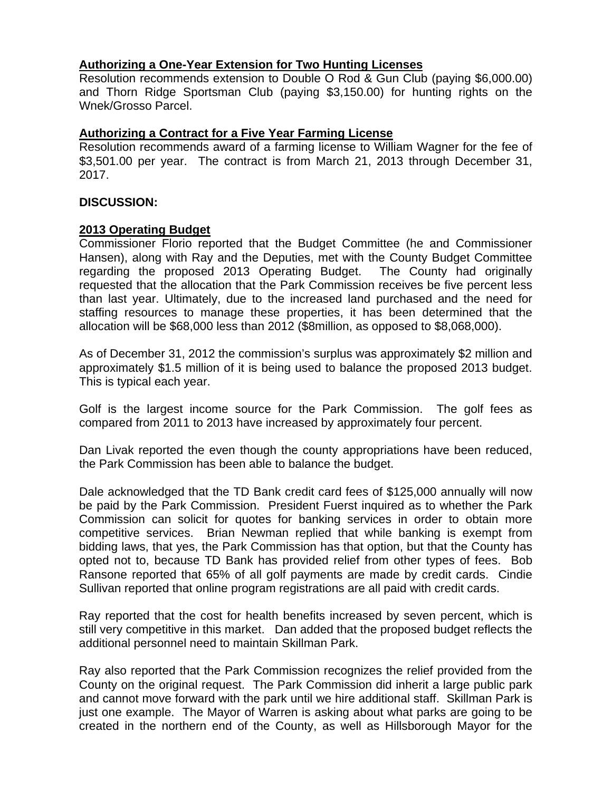### **Authorizing a One-Year Extension for Two Hunting Licenses**

Resolution recommends extension to Double O Rod & Gun Club (paying \$6,000.00) and Thorn Ridge Sportsman Club (paying \$3,150.00) for hunting rights on the Wnek/Grosso Parcel.

### **Authorizing a Contract for a Five Year Farming License**

Resolution recommends award of a farming license to William Wagner for the fee of \$3,501.00 per year. The contract is from March 21, 2013 through December 31, 2017.

### **DISCUSSION:**

### **2013 Operating Budget**

Commissioner Florio reported that the Budget Committee (he and Commissioner Hansen), along with Ray and the Deputies, met with the County Budget Committee regarding the proposed 2013 Operating Budget. The County had originally requested that the allocation that the Park Commission receives be five percent less than last year. Ultimately, due to the increased land purchased and the need for staffing resources to manage these properties, it has been determined that the allocation will be \$68,000 less than 2012 (\$8million, as opposed to \$8,068,000).

As of December 31, 2012 the commission's surplus was approximately \$2 million and approximately \$1.5 million of it is being used to balance the proposed 2013 budget. This is typical each year.

Golf is the largest income source for the Park Commission. The golf fees as compared from 2011 to 2013 have increased by approximately four percent.

Dan Livak reported the even though the county appropriations have been reduced, the Park Commission has been able to balance the budget.

Dale acknowledged that the TD Bank credit card fees of \$125,000 annually will now be paid by the Park Commission. President Fuerst inquired as to whether the Park Commission can solicit for quotes for banking services in order to obtain more competitive services. Brian Newman replied that while banking is exempt from bidding laws, that yes, the Park Commission has that option, but that the County has opted not to, because TD Bank has provided relief from other types of fees. Bob Ransone reported that 65% of all golf payments are made by credit cards. Cindie Sullivan reported that online program registrations are all paid with credit cards.

Ray reported that the cost for health benefits increased by seven percent, which is still very competitive in this market. Dan added that the proposed budget reflects the additional personnel need to maintain Skillman Park.

Ray also reported that the Park Commission recognizes the relief provided from the County on the original request. The Park Commission did inherit a large public park and cannot move forward with the park until we hire additional staff. Skillman Park is just one example. The Mayor of Warren is asking about what parks are going to be created in the northern end of the County, as well as Hillsborough Mayor for the